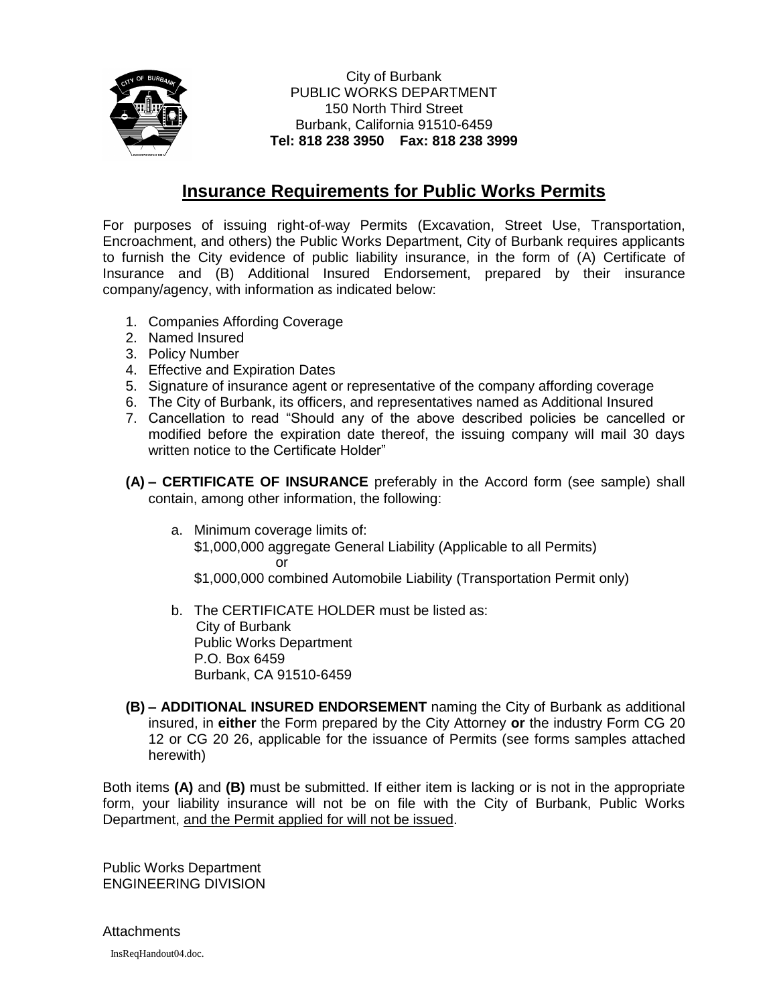

City of Burbank PUBLIC WORKS DEPARTMENT 150 North Third Street Burbank, California 91510-6459 **Tel: 818 238 3950 Fax: 818 238 3999**

## **Insurance Requirements for Public Works Permits**

For purposes of issuing right-of-way Permits (Excavation, Street Use, Transportation, Encroachment, and others) the Public Works Department, City of Burbank requires applicants to furnish the City evidence of public liability insurance, in the form of (A) Certificate of Insurance and (B) Additional Insured Endorsement, prepared by their insurance company/agency, with information as indicated below:

- 1. Companies Affording Coverage
- 2. Named Insured
- 3. Policy Number
- 4. Effective and Expiration Dates
- 5. Signature of insurance agent or representative of the company affording coverage
- 6. The City of Burbank, its officers, and representatives named as Additional Insured
- 7. Cancellation to read "Should any of the above described policies be cancelled or modified before the expiration date thereof, the issuing company will mail 30 days written notice to the Certificate Holder"
- **(A) – CERTIFICATE OF INSURANCE** preferably in the Accord form (see sample) shall contain, among other information, the following:
	- a. Minimum coverage limits of: \$1,000,000 aggregate General Liability (Applicable to all Permits) or
		- \$1,000,000 combined Automobile Liability (Transportation Permit only)
	- b. The CERTIFICATE HOLDER must be listed as: City of Burbank Public Works Department P.O. Box 6459 Burbank, CA 91510-6459
- **(B) – ADDITIONAL INSURED ENDORSEMENT** naming the City of Burbank as additional insured, in **either** the Form prepared by the City Attorney **or** the industry Form CG 20 12 or CG 20 26, applicable for the issuance of Permits (see forms samples attached herewith)

Both items **(A)** and **(B)** must be submitted. If either item is lacking or is not in the appropriate form, your liability insurance will not be on file with the City of Burbank, Public Works Department, and the Permit applied for will not be issued.

Public Works Department ENGINEERING DIVISION

**Attachments** 

InsReqHandout04.doc.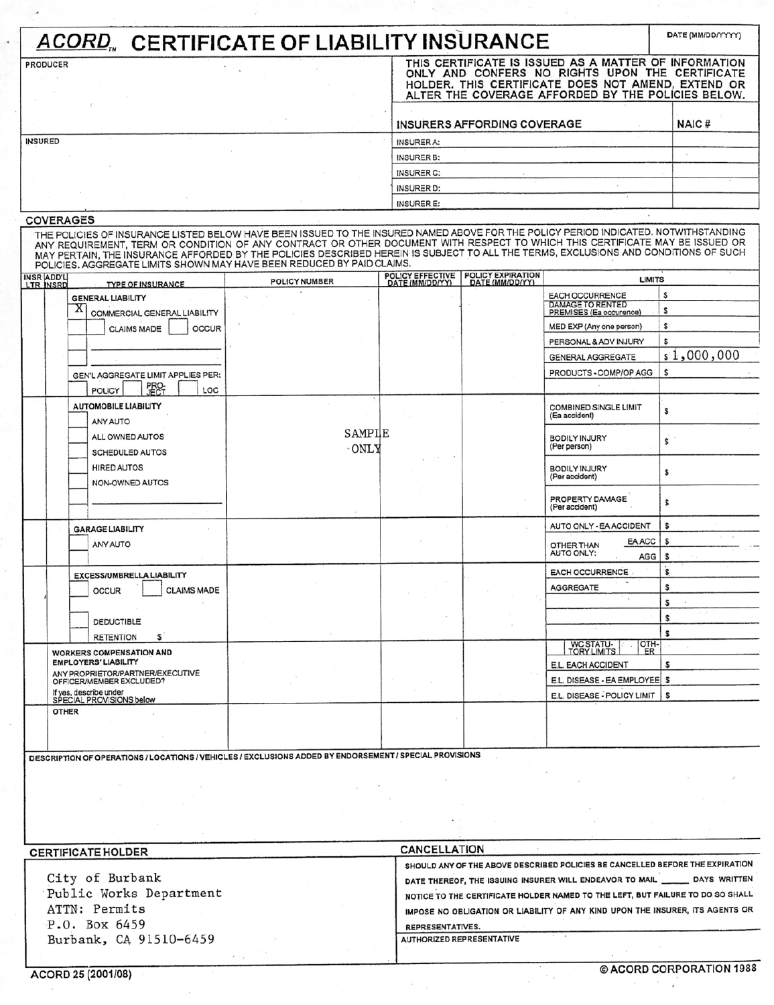| <b>ACORD, CERTIFICATE OF LIABILITY INSURANCE</b> |                                                                                                                                                                                                                                                                                                                                                                                                                                                                                      |                      |                                     |                                      |                                                                                                                                                                                                                      |              |  |
|--------------------------------------------------|--------------------------------------------------------------------------------------------------------------------------------------------------------------------------------------------------------------------------------------------------------------------------------------------------------------------------------------------------------------------------------------------------------------------------------------------------------------------------------------|----------------------|-------------------------------------|--------------------------------------|----------------------------------------------------------------------------------------------------------------------------------------------------------------------------------------------------------------------|--------------|--|
| <b>PRODUCER</b>                                  |                                                                                                                                                                                                                                                                                                                                                                                                                                                                                      |                      |                                     |                                      | THIS CERTIFICATE IS ISSUED AS A MATTER OF INFORMATION<br>ONLY AND CONFERS NO RIGHTS UPON THE CERTIFICATE<br>HOLDER. THIS CERTIFICATE DOES NOT AMEND, EXTEND OR<br>ALTER THE COVERAGE AFFORDED BY THE POLICIES BELOW. |              |  |
|                                                  |                                                                                                                                                                                                                                                                                                                                                                                                                                                                                      |                      |                                     | <b>INSURERS AFFORDING COVERAGE</b>   |                                                                                                                                                                                                                      | NAIC#        |  |
| INSURED                                          |                                                                                                                                                                                                                                                                                                                                                                                                                                                                                      |                      | <b>INSURER A:</b>                   |                                      |                                                                                                                                                                                                                      |              |  |
|                                                  |                                                                                                                                                                                                                                                                                                                                                                                                                                                                                      |                      | INSURER B:                          |                                      |                                                                                                                                                                                                                      |              |  |
|                                                  |                                                                                                                                                                                                                                                                                                                                                                                                                                                                                      |                      | <b>INSURER C:</b>                   |                                      |                                                                                                                                                                                                                      |              |  |
|                                                  |                                                                                                                                                                                                                                                                                                                                                                                                                                                                                      | <b>INSURER D:</b>    |                                     |                                      |                                                                                                                                                                                                                      |              |  |
|                                                  |                                                                                                                                                                                                                                                                                                                                                                                                                                                                                      |                      | <b>INSURER E:</b>                   |                                      |                                                                                                                                                                                                                      |              |  |
| <b>COVERAGES</b>                                 | THE POLICIES OF INSURANCE LISTED BELOW HAVE BEEN ISSUED TO THE INSURED NAMED ABOVE FOR THE POLICY PERIOD INDICATED. NOTWITHSTANDING<br>ANY REQUIREMENT, TERM OR CONDITION OF ANY CONTRACT OR OTHER DOCUMENT WITH RESPECT TO WHICH THIS CERTIFICATE MAY BE ISSUED OR<br>MAY PERTAIN, THE INSURANCE AFFORDED BY THE POLICIES DESCRIBED HEREIN IS SUBJECT TO ALL THE TERMS, EXCLUSIONS AND CONDITIONS OF SUCH<br>POLICIES, AGGREGATE LIMITS SHOWN MAY HAVE BEEN REDUCED BY PAID CLAIMS. |                      |                                     |                                      |                                                                                                                                                                                                                      |              |  |
| <b>INSR ADD'L</b><br>LTR INSRD                   | <b>TYPE OF INSURANCE</b>                                                                                                                                                                                                                                                                                                                                                                                                                                                             | <b>POLICY NUMBER</b> | POLICY EFFECTIVE<br>DATE (MM/DD/YY) | POLICY EXPIRATION<br>DATE (MM/DD/YY) | <b>LIMITS</b>                                                                                                                                                                                                        |              |  |
|                                                  | <b>GENERAL LIABILITY</b>                                                                                                                                                                                                                                                                                                                                                                                                                                                             |                      |                                     |                                      | <b>EACH OCCURRENCE</b>                                                                                                                                                                                               | \$           |  |
|                                                  | A<br>COMMERCIAL GENERAL LIABILITY                                                                                                                                                                                                                                                                                                                                                                                                                                                    |                      |                                     |                                      | <b>DAMAGE TO RENTED</b><br>PREMISES (Ea occurence)                                                                                                                                                                   | s            |  |
|                                                  | <b>OCCUR</b><br><b>CLAIMS MADE</b>                                                                                                                                                                                                                                                                                                                                                                                                                                                   |                      |                                     |                                      | MED EXP (Any one person)                                                                                                                                                                                             | \$           |  |
|                                                  |                                                                                                                                                                                                                                                                                                                                                                                                                                                                                      |                      |                                     |                                      | PERSONAL & ADV INJURY                                                                                                                                                                                                | \$           |  |
|                                                  |                                                                                                                                                                                                                                                                                                                                                                                                                                                                                      |                      |                                     |                                      | <b>GENERAL AGGREGATE</b>                                                                                                                                                                                             | \$1,000,000  |  |
|                                                  | GEN'L AGGREGATE LIMIT APPLIES PER:<br>PRO-<br>JECT<br>LOC                                                                                                                                                                                                                                                                                                                                                                                                                            |                      |                                     |                                      | PRODUCTS - COMP/OP AGG                                                                                                                                                                                               | \$           |  |
|                                                  | <b>POLICY</b><br><b>AUTOMOBILE LIABILITY</b>                                                                                                                                                                                                                                                                                                                                                                                                                                         |                      |                                     |                                      |                                                                                                                                                                                                                      |              |  |
|                                                  | ANY AUTO                                                                                                                                                                                                                                                                                                                                                                                                                                                                             | SAMPIE<br>- ONLY     |                                     |                                      | <b>COMBINED SINGLE LIMIT</b><br>(Ea accident)                                                                                                                                                                        | s            |  |
|                                                  | ALL OWNED AUTOS<br><b>SCHEDULED AUTOS</b>                                                                                                                                                                                                                                                                                                                                                                                                                                            |                      |                                     |                                      | <b>BODILY INJURY</b><br>(Per person)                                                                                                                                                                                 | s            |  |
|                                                  | <b>HIRED AUTOS</b><br>NON-OWNED AUTOS                                                                                                                                                                                                                                                                                                                                                                                                                                                |                      |                                     |                                      | <b>BODILY INJURY</b><br>(Per accident)                                                                                                                                                                               | \$           |  |
|                                                  |                                                                                                                                                                                                                                                                                                                                                                                                                                                                                      |                      |                                     |                                      | PROPERTY DAMAGE<br>(Per accident)                                                                                                                                                                                    | s            |  |
|                                                  | <b>GARAGE LIABILITY</b>                                                                                                                                                                                                                                                                                                                                                                                                                                                              |                      |                                     |                                      | AUTO ONLY - EA ACCIDENT                                                                                                                                                                                              | s            |  |
|                                                  | ANY AUTO                                                                                                                                                                                                                                                                                                                                                                                                                                                                             |                      |                                     |                                      | EA ACC<br>OTHER THAN                                                                                                                                                                                                 | s            |  |
|                                                  |                                                                                                                                                                                                                                                                                                                                                                                                                                                                                      |                      |                                     |                                      | AUTO ONLY:<br>AGG                                                                                                                                                                                                    | s            |  |
|                                                  | <b>EXCESS/UMBRELLA LIABILITY</b>                                                                                                                                                                                                                                                                                                                                                                                                                                                     |                      |                                     |                                      | <b>EACH OCCURRENCE</b>                                                                                                                                                                                               | .<br>S       |  |
|                                                  | <b>OCCUR</b><br><b>CLAIMS MADE</b>                                                                                                                                                                                                                                                                                                                                                                                                                                                   |                      |                                     |                                      | <b>AGGREGATE</b>                                                                                                                                                                                                     | \$           |  |
|                                                  |                                                                                                                                                                                                                                                                                                                                                                                                                                                                                      |                      |                                     |                                      | ۰.                                                                                                                                                                                                                   | s<br>$+$ $+$ |  |
|                                                  | DEDUCTIBLE                                                                                                                                                                                                                                                                                                                                                                                                                                                                           |                      |                                     |                                      |                                                                                                                                                                                                                      | \$           |  |
|                                                  | <b>RETENTION</b><br>s                                                                                                                                                                                                                                                                                                                                                                                                                                                                |                      |                                     |                                      | OTH-                                                                                                                                                                                                                 | s            |  |
| <b>WORKERS COMPENSATION AND</b>                  |                                                                                                                                                                                                                                                                                                                                                                                                                                                                                      |                      |                                     |                                      | WC STATU-<br>TORY LIMITS<br>ER.                                                                                                                                                                                      |              |  |
|                                                  | <b>EMPLOYERS' LIABILITY</b><br>ANY PROPRIETOR/PARTNER/EXECUTIVE                                                                                                                                                                                                                                                                                                                                                                                                                      |                      |                                     |                                      | E.L. EACH ACCIDENT                                                                                                                                                                                                   | s            |  |
|                                                  | OFFICER/MEMBER EXCLUDED?<br>If yes, describe under                                                                                                                                                                                                                                                                                                                                                                                                                                   |                      |                                     |                                      | E.L. DISEASE - EA EMPLOYEE   \$                                                                                                                                                                                      |              |  |
|                                                  | SPECIAL PROVISIONS below                                                                                                                                                                                                                                                                                                                                                                                                                                                             |                      |                                     |                                      | E.L. DISEASE - POLICY LIMIT                                                                                                                                                                                          | <b>s</b>     |  |
|                                                  | <b>OTHER</b>                                                                                                                                                                                                                                                                                                                                                                                                                                                                         |                      |                                     |                                      |                                                                                                                                                                                                                      |              |  |

DESCRIPTION OF OPERATIONS / LOCATIONS / VEHICLES / EXCLUSIONS ADDED BY ENDORSEMENT / SPECIAL PROVISIONS

#### CANCELLATION **CERTIFICATE HOLDER** SHOULD ANY OF THE ABOVE DESCRIBED POLICIES BE CANCELLED BEFORE THE EXPIRATION City of Burbank DATE THEREOF, THE ISSUING INSURER WILL ENDEAVOR TO MAIL \_\_\_\_\_\_\_ DAYS WRITTEN Public Works Department NOTICE TO THE CERTIFICATE HOLDER NAMED TO THE LEFT, BUT FAILURE TO DO SO SHALL ATTN: Permits IMPOSE NO OBLIGATION OR LIABILITY OF ANY KIND UPON THE INSURER, ITS AGENTS OR P.O. Box 6459 REPRESENTATIVES. Burbank, CA 91510-6459 AUTHORIZED REPRESENTATIVE

ACORD 25 (2001/08)

 $\rightarrow$ 

© ACORD CORPORATION 1988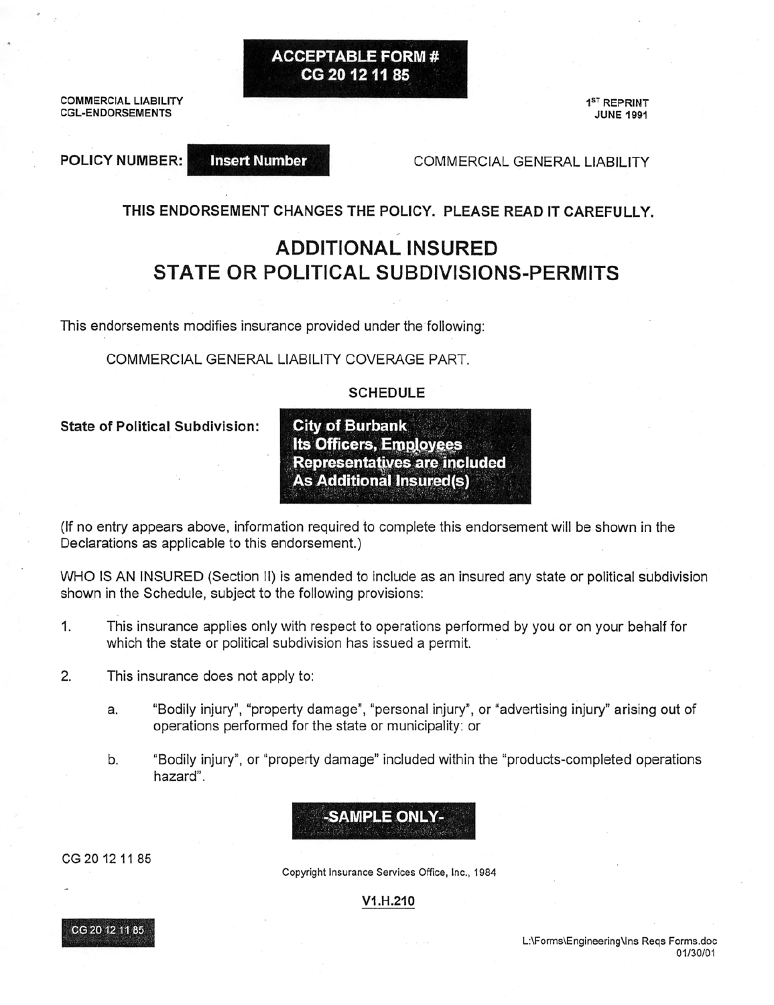**ACCEPTABLE FORM#** CG 20 12 11 85

**COMMERCIAL LIABILITY CGL-ENDORSEMENTS** 

**POLICY NUMBER:** 

**Insert Number** 

1<sup>ST</sup> REPRINT **JUNE 1991** 

COMMERCIAL GENERAL LIABILITY

THIS ENDORSEMENT CHANGES THE POLICY. PLEASE READ IT CAREFULLY.

# **ADDITIONAL INSURED STATE OR POLITICAL SUBDIVISIONS-PERMITS**

This endorsements modifies insurance provided under the following:

COMMERCIAL GENERAL LIABILITY COVERAGE PART.

### **SCHEDULE**

**State of Political Subdivision:** 

**City of Burbank Its Officers, Employees Representatives are included As Additional Insured(s)** 

(If no entry appears above, information required to complete this endorsement will be shown in the Declarations as applicable to this endorsement.)

WHO IS AN INSURED (Section II) is amended to include as an insured any state or political subdivision shown in the Schedule, subject to the following provisions:

- 1. This insurance applies only with respect to operations performed by you or on your behalf for which the state or political subdivision has issued a permit.
- $2.$ This insurance does not apply to:
	- "Bodily injury", "property damage", "personal injury", or "advertising injury" arising out of a. operations performed for the state or municipality: or
	- b. "Bodily injury", or "property damage" included within the "products-completed operations hazard".

CG 20 12 11 85

Copyright Insurance Services Office, Inc., 1984

-SAMPLE ONLY-

V1.H.210



L:\Forms\Engineering\Ins Reqs Forms.doc 01/30/01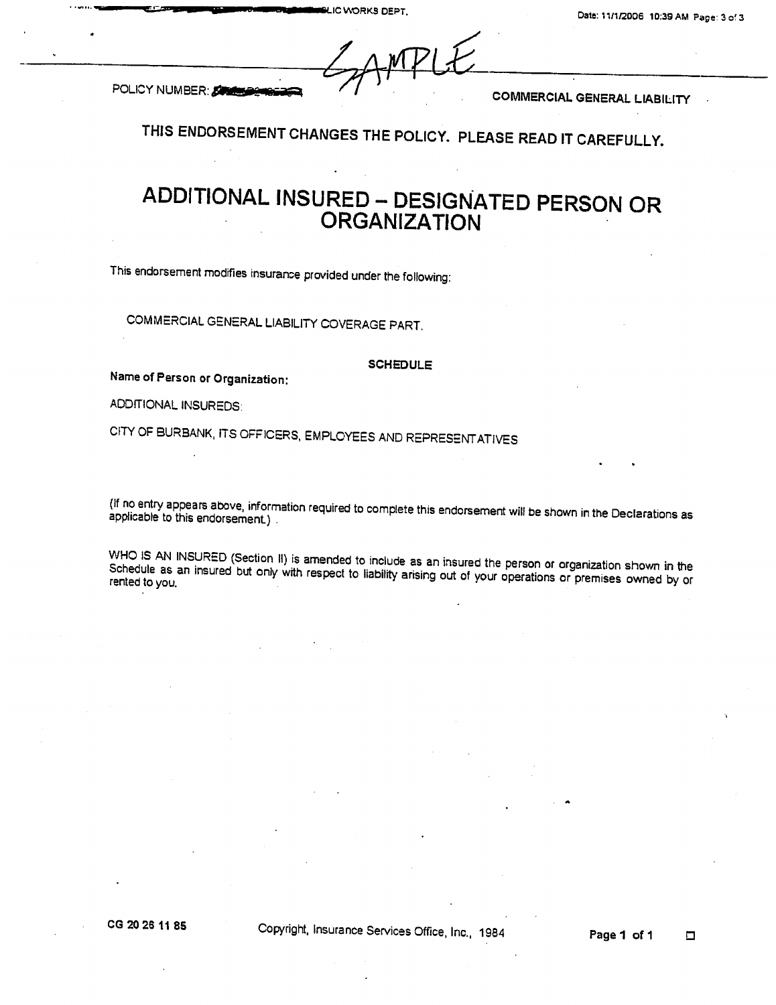| SAMPLE |  |  |  |
|--------|--|--|--|
|        |  |  |  |
|        |  |  |  |
|        |  |  |  |

POLICY NUMBER: SUMMER

**COMMERCIAL GENERAL LIABILITY** 

THIS ENDORSEMENT CHANGES THE POLICY. PLEASE READ IT CAREFULLY.

# ADDITIONAL INSURED - DESIGNATED PERSON OR **ORGANIZATION**

This endorsement modifies insurance provided under the following:

COMMERCIAL GENERAL LIABILITY COVERAGE PART.

#### **SCHEDULE**

Name of Person or Organization:

ADDITIONAL INSUREDS:

CITY OF BURBANK, ITS OFFICERS, EMPLOYEES AND REPRESENT ATIVES

(If no entry appears above, information required to complete this endorsement will be shown in the Declarations as applicable to this endorsement.).

WHO IS AN INSURED (Section II) is amended to include as an insured the person or organization shown in the Schedule as an insured but only with respect to liability arising out of your operations or premises owned by or rented to you.